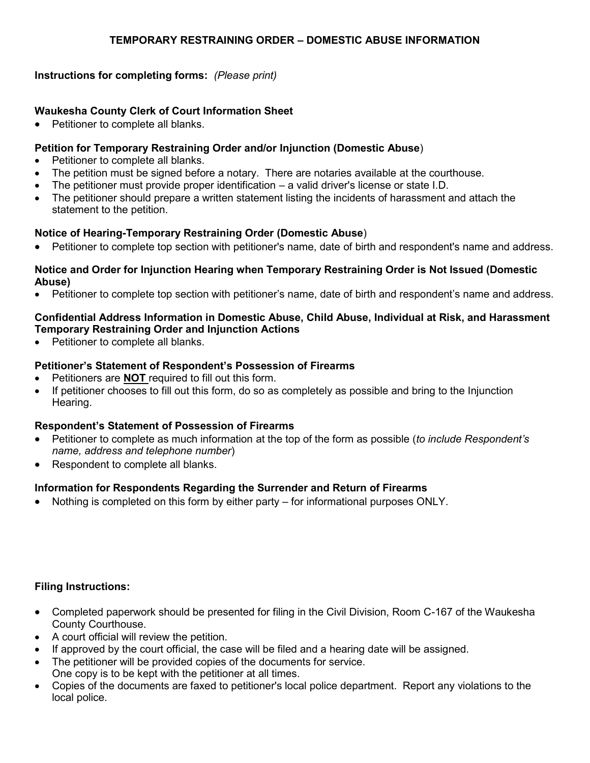#### **TEMPORARY RESTRAINING ORDER – DOMESTIC ABUSE INFORMATION**

### **Instructions for completing forms:** *(Please print)*

### **Waukesha County Clerk of Court Information Sheet**

Petitioner to complete all blanks.

### **Petition for Temporary Restraining Order and/or Injunction (Domestic Abuse**)

- Petitioner to complete all blanks.
- The petition must be signed before a notary. There are notaries available at the courthouse.
- The petitioner must provide proper identification a valid driver's license or state I.D.
- The petitioner should prepare a written statement listing the incidents of harassment and attach the statement to the petition.

### **Notice of Hearing-Temporary Restraining Order (Domestic Abuse**)

Petitioner to complete top section with petitioner's name, date of birth and respondent's name and address.

#### **Notice and Order for Injunction Hearing when Temporary Restraining Order is Not Issued (Domestic Abuse)**

Petitioner to complete top section with petitioner's name, date of birth and respondent's name and address.

### **Confidential Address Information in Domestic Abuse, Child Abuse, Individual at Risk, and Harassment Temporary Restraining Order and Injunction Actions**

• Petitioner to complete all blanks.

# **Petitioner's Statement of Respondent's Possession of Firearms**

- Petitioners are **NOT** required to fill out this form.
- If petitioner chooses to fill out this form, do so as completely as possible and bring to the Injunction Hearing.

# **Respondent's Statement of Possession of Firearms**

- Petitioner to complete as much information at the top of the form as possible (*to include Respondent's name, address and telephone number*)
- Respondent to complete all blanks.

# **Information for Respondents Regarding the Surrender and Return of Firearms**

Nothing is completed on this form by either party – for informational purposes ONLY.

# **Filing Instructions:**

- Completed paperwork should be presented for filing in the Civil Division, Room C-167 of the Waukesha County Courthouse.
- A court official will review the petition.
- If approved by the court official, the case will be filed and a hearing date will be assigned.
- The petitioner will be provided copies of the documents for service. One copy is to be kept with the petitioner at all times.
- Copies of the documents are faxed to petitioner's local police department. Report any violations to the local police.